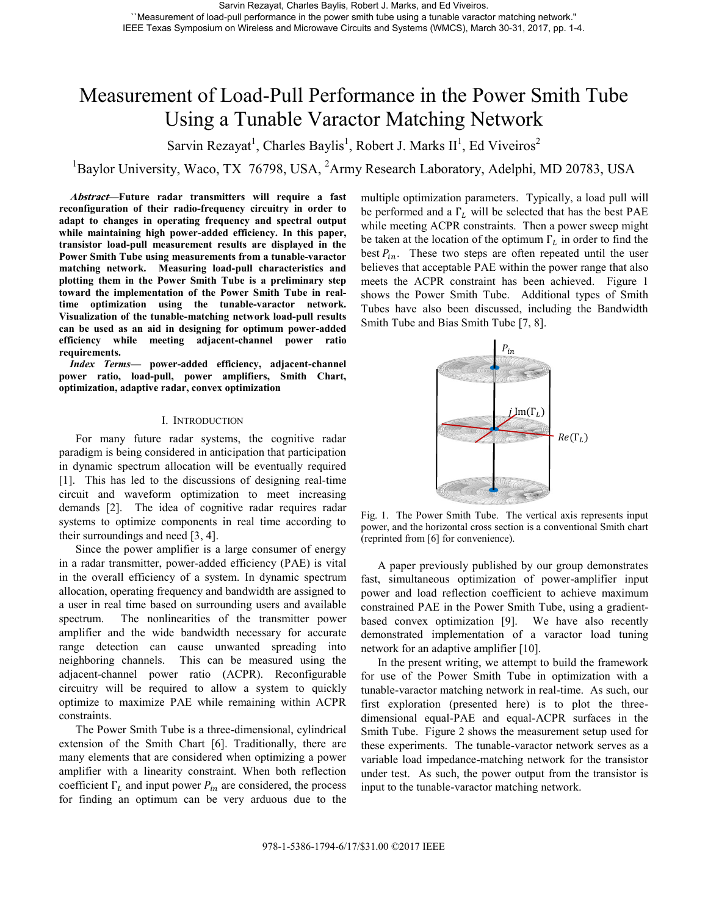# Measurement of Load-Pull Performance in the Power Smith Tube Using a Tunable Varactor Matching Network

Sarvin Rezayat<sup>1</sup>, Charles Baylis<sup>1</sup>, Robert J. Marks II<sup>1</sup>, Ed Viveiros<sup>2</sup>

<sup>1</sup>Baylor University, Waco, TX 76798, USA, <sup>2</sup>Army Research Laboratory, Adelphi, MD 20783, USA

**Abstract—Future radar transmitters will require a fast reconfiguration of their radio-frequency circuitry in order to adapt to changes in operating frequency and spectral output while maintaining high power-added efficiency. In this paper, transistor load-pull measurement results are displayed in the Power Smith Tube using measurements from a tunable-varactor matching network. Measuring load-pull characteristics and plotting them in the Power Smith Tube is a preliminary step toward the implementation of the Power Smith Tube in realtime optimization using the tunable-varactor network. Visualization of the tunable-matching network load-pull results can be used as an aid in designing for optimum power-added efficiency while meeting adjacent-channel power ratio requirements.** 

*Index Terms***— power-added efficiency, adjacent-channel power ratio, load-pull, power amplifiers, Smith Chart, optimization, adaptive radar, convex optimization** 

# I. INTRODUCTION

For many future radar systems, the cognitive radar paradigm is being considered in anticipation that participation in dynamic spectrum allocation will be eventually required [1]. This has led to the discussions of designing real-time circuit and waveform optimization to meet increasing demands [2]. The idea of cognitive radar requires radar systems to optimize components in real time according to their surroundings and need [3, 4].

Since the power amplifier is a large consumer of energy in a radar transmitter, power-added efficiency (PAE) is vital in the overall efficiency of a system. In dynamic spectrum allocation, operating frequency and bandwidth are assigned to a user in real time based on surrounding users and available spectrum. The nonlinearities of the transmitter power amplifier and the wide bandwidth necessary for accurate range detection can cause unwanted spreading into neighboring channels. This can be measured using the adjacent-channel power ratio (ACPR). Reconfigurable circuitry will be required to allow a system to quickly optimize to maximize PAE while remaining within ACPR constraints.

The Power Smith Tube is a three-dimensional, cylindrical extension of the Smith Chart [6]. Traditionally, there are many elements that are considered when optimizing a power amplifier with a linearity constraint. When both reflection coefficient  $\Gamma_L$  and input power  $P_{in}$  are considered, the process for finding an optimum can be very arduous due to the multiple optimization parameters. Typically, a load pull will be performed and a  $\Gamma_L$  will be selected that has the best PAE while meeting ACPR constraints. Then a power sweep might be taken at the location of the optimum  $\Gamma_L$  in order to find the best  $P_{in}$ . These two steps are often repeated until the user believes that acceptable PAE within the power range that also meets the ACPR constraint has been achieved. Figure 1 shows the Power Smith Tube. Additional types of Smith Tubes have also been discussed, including the Bandwidth Smith Tube and Bias Smith Tube [7, 8].



Fig. 1. The Power Smith Tube. The vertical axis represents input power, and the horizontal cross section is a conventional Smith chart (reprinted from [6] for convenience).

A paper previously published by our group demonstrates fast, simultaneous optimization of power-amplifier input power and load reflection coefficient to achieve maximum constrained PAE in the Power Smith Tube, using a gradientbased convex optimization [9]. We have also recently demonstrated implementation of a varactor load tuning network for an adaptive amplifier [10].

In the present writing, we attempt to build the framework for use of the Power Smith Tube in optimization with a tunable-varactor matching network in real-time. As such, our first exploration (presented here) is to plot the threedimensional equal-PAE and equal-ACPR surfaces in the Smith Tube. Figure 2 shows the measurement setup used for these experiments. The tunable-varactor network serves as a variable load impedance-matching network for the transistor under test. As such, the power output from the transistor is input to the tunable-varactor matching network.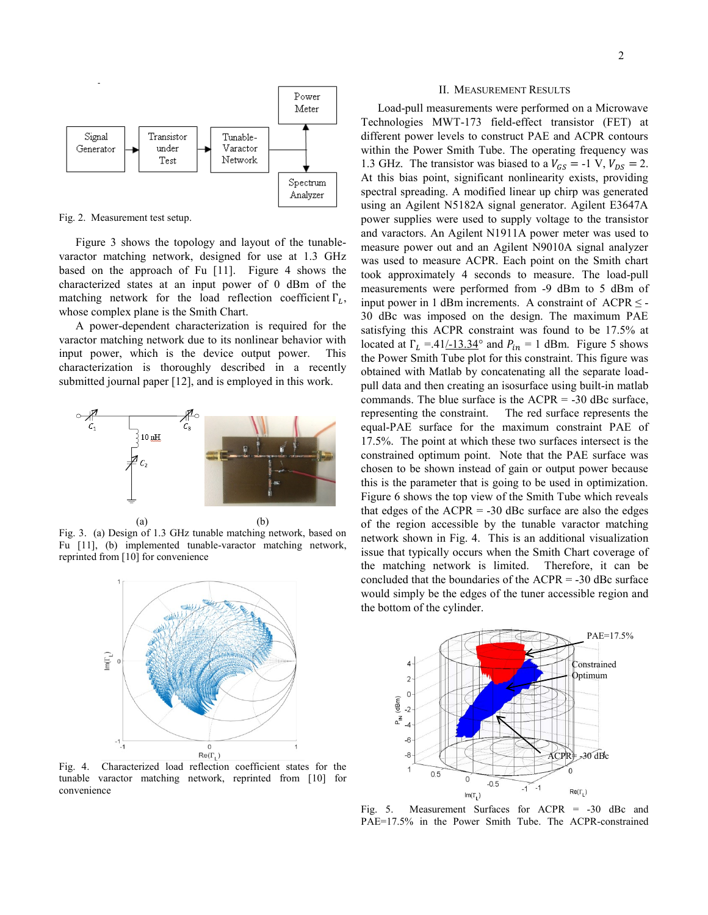

Fig. 2. Measurement test setup.

Figure 3 shows the topology and layout of the tunablevaractor matching network, designed for use at 1.3 GHz based on the approach of Fu [11]. Figure 4 shows the characterized states at an input power of 0 dBm of the matching network for the load reflection coefficient  $\Gamma_L$ , whose complex plane is the Smith Chart.

A power-dependent characterization is required for the varactor matching network due to its nonlinear behavior with input power, which is the device output power. This characterization is thoroughly described in a recently submitted journal paper [12], and is employed in this work.



 $(a)$  (b) Fig. 3. (a) Design of 1.3 GHz tunable matching network, based on Fu [11], (b) implemented tunable-varactor matching network, reprinted from [10] for convenience



Fig. 4. Characterized load reflection coefficient states for the tunable varactor matching network, reprinted from [10] for convenience

## II. MEASUREMENT RESULTS

Load-pull measurements were performed on a Microwave Technologies MWT-173 field-effect transistor (FET) at different power levels to construct PAE and ACPR contours within the Power Smith Tube. The operating frequency was 1.3 GHz. The transistor was biased to a  $V_{GS} = -1$  V,  $V_{DS} = 2$ . At this bias point, significant nonlinearity exists, providing spectral spreading. A modified linear up chirp was generated using an Agilent N5182A signal generator. Agilent E3647A power supplies were used to supply voltage to the transistor and varactors. An Agilent N1911A power meter was used to measure power out and an Agilent N9010A signal analyzer was used to measure ACPR. Each point on the Smith chart took approximately 4 seconds to measure. The load-pull measurements were performed from -9 dBm to 5 dBm of input power in 1 dBm increments. A constraint of  $ACPR \leq -1$ 30 dBc was imposed on the design. The maximum PAE satisfying this ACPR constraint was found to be 17.5% at located at  $\Gamma_L = 0.41/13.34^\circ$  and  $P_{in} = 1$  dBm. Figure 5 shows the Power Smith Tube plot for this constraint. This figure was obtained with Matlab by concatenating all the separate loadpull data and then creating an isosurface using built-in matlab commands. The blue surface is the  $ACPR = -30$  dBc surface, representing the constraint. The red surface represents the equal-PAE surface for the maximum constraint PAE of 17.5%. The point at which these two surfaces intersect is the constrained optimum point. Note that the PAE surface was chosen to be shown instead of gain or output power because this is the parameter that is going to be used in optimization. Figure 6 shows the top view of the Smith Tube which reveals that edges of the  $ACPR = -30$  dBc surface are also the edges of the region accessible by the tunable varactor matching network shown in Fig. 4. This is an additional visualization issue that typically occurs when the Smith Chart coverage of the matching network is limited. Therefore, it can be concluded that the boundaries of the  $ACPR = -30$  dBc surface would simply be the edges of the tuner accessible region and the bottom of the cylinder.



Fig. 5. Measurement Surfaces for ACPR = -30 dBc and PAE=17.5% in the Power Smith Tube. The ACPR-constrained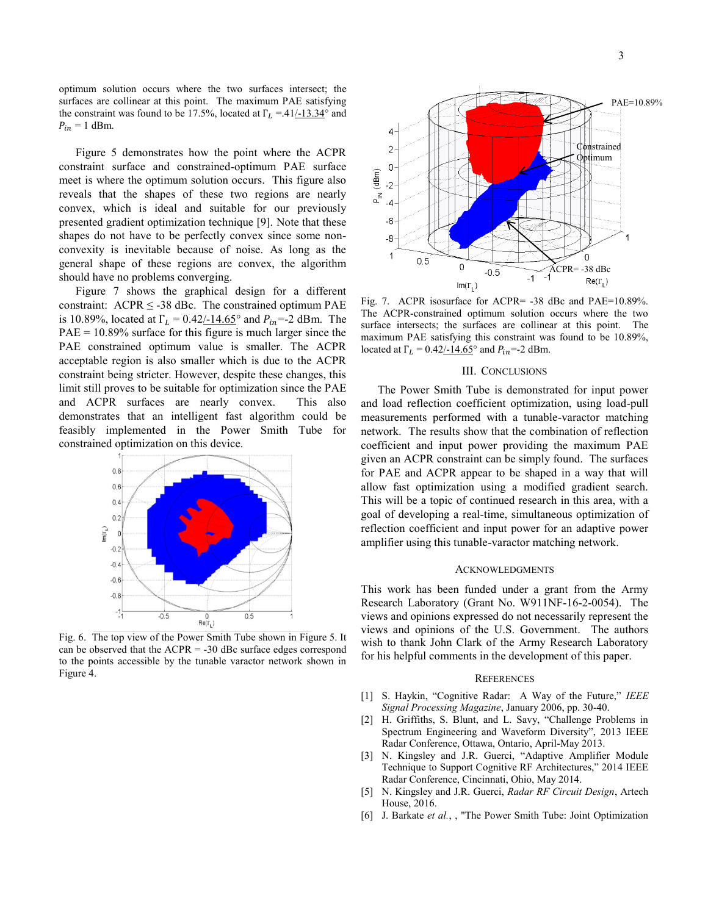optimum solution occurs where the two surfaces intersect; the surfaces are collinear at this point. The maximum PAE satisfying the constraint was found to be 17.5%, located at  $\Gamma_L = 0.41 \div 13.34^\circ$  and  $P_{in} = 1$  dBm.

Figure 5 demonstrates how the point where the ACPR constraint surface and constrained-optimum PAE surface meet is where the optimum solution occurs. This figure also reveals that the shapes of these two regions are nearly convex, which is ideal and suitable for our previously presented gradient optimization technique [9]. Note that these shapes do not have to be perfectly convex since some nonconvexity is inevitable because of noise. As long as the general shape of these regions are convex, the algorithm should have no problems converging.

Figure 7 shows the graphical design for a different constraint:  $ACPR \leq -38$  dBc. The constrained optimum PAE is 10.89%, located at  $\Gamma_L = 0.42/14.65^{\circ}$  and  $P_{in} = 2$  dBm. The  $PAE = 10.89\%$  surface for this figure is much larger since the PAE constrained optimum value is smaller. The ACPR acceptable region is also smaller which is due to the ACPR constraint being stricter. However, despite these changes, this limit still proves to be suitable for optimization since the PAE and ACPR surfaces are nearly convex. This also demonstrates that an intelligent fast algorithm could be feasibly implemented in the Power Smith Tube for constrained optimization on this device.



Fig. 6. The top view of the Power Smith Tube shown in Figure 5. It can be observed that the  $ACPR = -30$  dBc surface edges correspond to the points accessible by the tunable varactor network shown in Figure 4.



Fig. 7. ACPR isosurface for ACPR= -38 dBc and PAE=10.89%. The ACPR-constrained optimum solution occurs where the two surface intersects; the surfaces are collinear at this point. The maximum PAE satisfying this constraint was found to be 10.89%, located at  $\Gamma_L = 0.42/14.65^\circ$  and  $P_{in} = -2$  dBm.

# III. CONCLUSIONS

The Power Smith Tube is demonstrated for input power and load reflection coefficient optimization, using load-pull measurements performed with a tunable-varactor matching network. The results show that the combination of reflection coefficient and input power providing the maximum PAE given an ACPR constraint can be simply found. The surfaces for PAE and ACPR appear to be shaped in a way that will allow fast optimization using a modified gradient search. This will be a topic of continued research in this area, with a goal of developing a real-time, simultaneous optimization of reflection coefficient and input power for an adaptive power amplifier using this tunable-varactor matching network.

#### ACKNOWLEDGMENTS

This work has been funded under a grant from the Army Research Laboratory (Grant No. W911NF-16-2-0054). The views and opinions expressed do not necessarily represent the views and opinions of the U.S. Government. The authors wish to thank John Clark of the Army Research Laboratory for his helpful comments in the development of this paper.

## **REFERENCES**

- [1] S. Haykin, "Cognitive Radar: A Way of the Future," *IEEE Signal Processing Magazine*, January 2006, pp. 30-40.
- [2] H. Griffiths, S. Blunt, and L. Savy, "Challenge Problems in Spectrum Engineering and Waveform Diversity", 2013 IEEE Radar Conference, Ottawa, Ontario, April-May 2013.
- [3] N. Kingsley and J.R. Guerci, "Adaptive Amplifier Module Technique to Support Cognitive RF Architectures," 2014 IEEE Radar Conference, Cincinnati, Ohio, May 2014.
- [5] N. Kingsley and J.R. Guerci, *Radar RF Circuit Design*, Artech House, 2016.
- [6] J. Barkate *et al.*, , "The Power Smith Tube: Joint Optimization